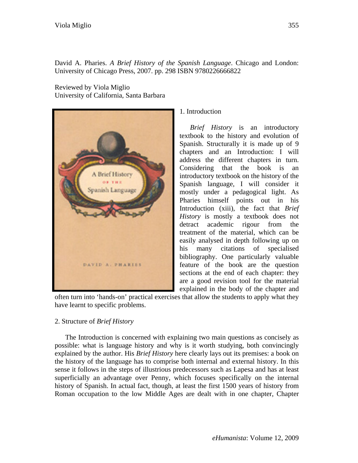David A. Pharies. *A Brief History of the Spanish Language*. Chicago and London: University of Chicago Press, 2007. pp. 298 ISBN 9780226666822

Reviewed by Viola Miglio University of California, Santa Barbara



1. Introduction

*Brief History* is an introductory textbook to the history and evolution of Spanish. Structurally it is made up of 9 chapters and an Introduction: I will address the different chapters in turn. Considering that the book is an introductory textbook on the history of the Spanish language, I will consider it mostly under a pedagogical light. As Pharies himself points out in his Introduction (xiii), the fact that *Brief History* is mostly a textbook does not detract academic rigour from the treatment of the material, which can be easily analysed in depth following up on his many citations of specialised bibliography. One particularly valuable feature of the book are the question sections at the end of each chapter: they are a good revision tool for the material explained in the body of the chapter and

often turn into 'hands-on' practical exercises that allow the students to apply what they have learnt to specific problems.

## 2. Structure of *Brief History*

The Introduction is concerned with explaining two main questions as concisely as possible: what is language history and why is it worth studying, both convincingly explained by the author. His *Brief History* here clearly lays out its premises: a book on the history of the language has to comprise both internal and external history. In this sense it follows in the steps of illustrious predecessors such as Lapesa and has at least superficially an advantage over Penny, which focuses specifically on the internal history of Spanish. In actual fact, though, at least the first 1500 years of history from Roman occupation to the low Middle Ages are dealt with in one chapter, Chapter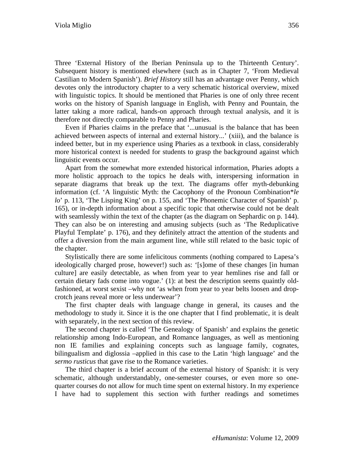Three 'External History of the Iberian Peninsula up to the Thirteenth Century'. Subsequent history is mentioned elsewhere (such as in Chapter 7, 'From Medieval Castilian to Modern Spanish'). *Brief History* still has an advantage over Penny, which devotes only the introductory chapter to a very schematic historical overview, mixed with linguistic topics. It should be mentioned that Pharies is one of only three recent works on the history of Spanish language in English, with Penny and Pountain, the latter taking a more radical, hands-on approach through textual analysis, and it is therefore not directly comparable to Penny and Pharies.

Even if Pharies claims in the preface that '...unusual is the balance that has been achieved between aspects of internal and external history...' (xiii), and the balance is indeed better, but in my experience using Pharies as a textbook in class, considerably more historical context is needed for students to grasp the background against which linguistic events occur.

Apart from the somewhat more extended historical information, Pharies adopts a more holistic approach to the topics he deals with, interspersing information in separate diagrams that break up the text. The diagrams offer myth-debunking information (cf. 'A linguistic Myth: the Cacophony of the Pronoun Combination\**le lo*' p. 113, 'The Lisping King' on p. 155, and 'The Phonemic Character of Spanish' p. 165), or in-depth information about a specific topic that otherwise could not be dealt with seamlessly within the text of the chapter (as the diagram on Sephardic on p. 144). They can also be on interesting and amusing subjects (such as 'The Reduplicative Playful Template' p. 176), and they definitely attract the attention of the students and offer a diversion from the main argument line, while still related to the basic topic of the chapter.

Stylistically there are some infelicitous comments (nothing compared to Lapesa's ideologically charged prose, however!) such as: '[s]ome of these changes [in human culture] are easily detectable, as when from year to year hemlines rise and fall or certain dietary fads come into vogue.' (1): at best the description seems quaintly oldfashioned, at worst sexist –why not 'as when from year to year belts loosen and dropcrotch jeans reveal more or less underwear'?

The first chapter deals with language change in general, its causes and the methodology to study it. Since it is the one chapter that I find problematic, it is dealt with separately, in the next section of this review.

The second chapter is called 'The Genealogy of Spanish' and explains the genetic relationship among Indo-European, and Romance languages, as well as mentioning non IE families and explaining concepts such as language family, cognates, bilingualism and diglossia –applied in this case to the Latin 'high language' and the *sermo rusticus* that gave rise to the Romance varieties.

The third chapter is a brief account of the external history of Spanish: it is very schematic, although understandably, one-semester courses, or even more so onequarter courses do not allow for much time spent on external history. In my experience I have had to supplement this section with further readings and sometimes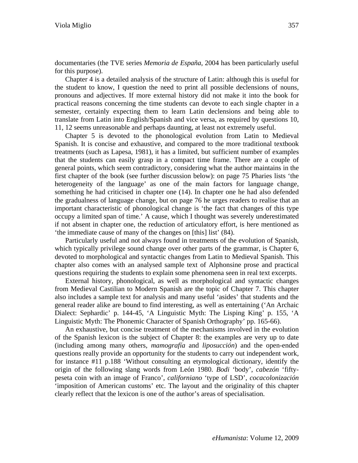documentaries (the TVE series *Memoria de España*, 2004 has been particularly useful for this purpose).

Chapter 4 is a detailed analysis of the structure of Latin: although this is useful for the student to know, I question the need to print all possible declensions of nouns, pronouns and adjectives. If more external history did not make it into the book for practical reasons concerning the time students can devote to each single chapter in a semester, certainly expecting them to learn Latin declensions and being able to translate from Latin into English/Spanish and vice versa, as required by questions 10, 11, 12 seems unreasonable and perhaps daunting, at least not extremely useful.

Chapter 5 is devoted to the phonological evolution from Latin to Medieval Spanish. It is concise and exhaustive, and compared to the more traditional textbook treatments (such as Lapesa, 1981), it has a limited, but sufficient number of examples that the students can easily grasp in a compact time frame. There are a couple of general points, which seem contradictory, considering what the author maintains in the first chapter of the book (see further discussion below): on page 75 Pharies lists 'the heterogeneity of the language' as one of the main factors for language change, something he had criticised in chapter one (14). In chapter one he had also defended the gradualness of language change, but on page 76 he urges readers to realise that an important characteristic of phonological change is 'the fact that changes of this type occupy a limited span of time.' A cause, which I thought was severely underestimated if not absent in chapter one, the reduction of articulatory effort, is here mentioned as 'the immediate cause of many of the changes on [this] list' (84).

Particularly useful and not always found in treatments of the evolution of Spanish, which typically privilege sound change over other parts of the grammar, is Chapter 6, devoted to morphological and syntactic changes from Latin to Medieval Spanish. This chapter also comes with an analysed sample text of Alphonsine prose and practical questions requiring the students to explain some phenomena seen in real text excerpts.

External history, phonological, as well as morphological and syntactic changes from Medieval Castilian to Modern Spanish are the topic of Chapter 7. This chapter also includes a sample text for analysis and many useful 'asides' that students and the general reader alike are bound to find interesting, as well as entertaining ('An Archaic Dialect: Sephardic' p. 144-45, 'A Linguistic Myth: The Lisping King' p. 155, 'A Linguistic Myth: The Phonemic Character of Spanish Orthography' pp. 165-66).

An exhaustive, but concise treatment of the mechanisms involved in the evolution of the Spanish lexicon is the subject of Chapter 8: the examples are very up to date (including among many others, *mamografía* and *liposucción*) and the open-ended questions really provide an opportunity for the students to carry out independent work, for instance #11 p.188 'Without consulting an etymological dictionary, identify the origin of the following slang words from León 1980. *Bodi* 'body', *cabezón* 'fiftypeseta coin with an image of Franco', *californiano* 'type of LSD', *cocacolonización* 'imposition of American customs' etc. The layout and the originality of this chapter clearly reflect that the lexicon is one of the author's areas of specialisation.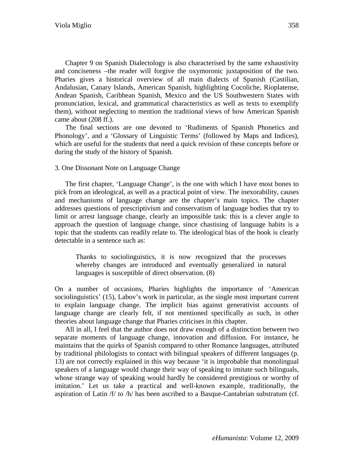Chapter 9 on Spanish Dialectology is also characterised by the same exhaustivity and conciseness –the reader will forgive the oxymoronic juxtaposition of the two. Pharies gives a historical overview of all main dialects of Spanish (Castilian, Andalusian, Canary Islands, American Spanish, highlighting Cocoliche, Rioplatense, Andean Spanish, Caribbean Spanish, Mexico and the US Southwestern States with pronunciation, lexical, and grammatical characteristics as well as texts to exemplify them), without neglecting to mention the traditional views of how American Spanish came about (208 ff.).

The final sections are one devoted to 'Rudiments of Spanish Phonetics and Phonology', and a 'Glossary of Linguistic Terms' (followed by Maps and Indices), which are useful for the students that need a quick revision of these concepts before or during the study of the history of Spanish.

## 3. One Dissonant Note on Language Change

The first chapter, 'Language Change', is the one with which I have most bones to pick from an ideological, as well as a practical point of view. The inexorability, causes and mechanisms of language change are the chapter's main topics. The chapter addresses questions of prescriptivism and conservatism of language bodies that try to limit or arrest language change, clearly an impossible task: this is a clever angle to approach the question of language change, since chastising of language habits is a topic that the students can readily relate to. The ideological bias of the book is clearly detectable in a sentence such as:

Thanks to sociolinguistics, it is now recognized that the processes whereby changes are introduced and eventually generalized in natural languages is susceptible of direct observation. (8)

On a number of occasions, Pharies highlights the importance of 'American sociolinguistics' (15), Labov's work in particular, as the single most important current to explain language change. The implicit bias against generativist accounts of language change are clearly felt, if not mentioned specifically as such, in other theories about language change that Pharies criticises in this chapter.

All in all, I feel that the author does not draw enough of a distinction between two separate moments of language change, innovation and diffusion. For instance, he maintains that the quirks of Spanish compared to other Romance languages, attributed by traditional philologists to contact with bilingual speakers of different languages (p. 13) are not correctly explained in this way because 'it is improbable that monolingual speakers of a language would change their way of speaking to imitate such bilinguals, whose strange way of speaking would hardly be considered prestigious or worthy of imitation.' Let us take a practical and well-known example, traditionally, the aspiration of Latin  $/f/$  to  $/h/$  has been ascribed to a Basque-Cantabrian substratum (cf.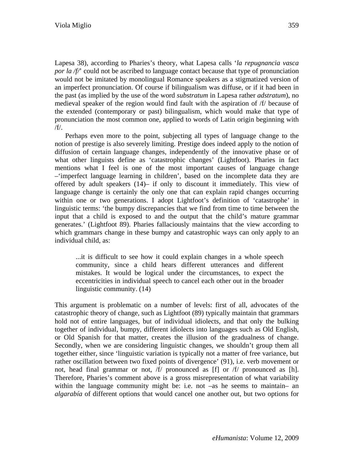Lapesa 38), according to Pharies's theory, what Lapesa calls '*la repugnancia vasca por la /f/*' could not be ascribed to language contact because that type of pronunciation would not be imitated by monolingual Romance speakers as a stigmatized version of an imperfect pronunciation. Of course if bilingualism was diffuse, or if it had been in the past (as implied by the use of the word *substratum* in Lapesa rather *adstratum*), no medieval speaker of the region would find fault with the aspiration of /f/ because of the extended (contemporary or past) bilingualism, which would make that type of pronunciation the most common one, applied to words of Latin origin beginning with /f/.

Perhaps even more to the point, subjecting all types of language change to the notion of prestige is also severely limiting. Prestige does indeed apply to the notion of diffusion of certain language changes, independently of the innovative phase or of what other linguists define as 'catastrophic changes' (Lightfoot). Pharies in fact mentions what I feel is one of the most important causes of language change –'imperfect language learning in children', based on the incomplete data they are offered by adult speakers (14)– if only to discount it immediately. This view of language change is certainly the only one that can explain rapid changes occurring within one or two generations. I adopt Lightfoot's definition of 'catastrophe' in linguistic terms: 'the bumpy discrepancies that we find from time to time between the input that a child is exposed to and the output that the child's mature grammar generates.' (Lightfoot 89). Pharies fallaciously maintains that the view according to which grammars change in these bumpy and catastrophic ways can only apply to an individual child, as:

...it is difficult to see how it could explain changes in a whole speech community, since a child hears different utterances and different mistakes. It would be logical under the circumstances, to expect the eccentricities in individual speech to cancel each other out in the broader linguistic community. (14)

This argument is problematic on a number of levels: first of all, advocates of the catastrophic theory of change, such as Lightfoot (89) typically maintain that grammars hold not of entire languages, but of individual idiolects, and that only the bulking together of individual, bumpy, different idiolects into languages such as Old English, or Old Spanish for that matter, creates the illusion of the gradualness of change. Secondly, when we are considering linguistic changes, we shouldn't group them all together either, since 'linguistic variation is typically not a matter of free variance, but rather oscillation between two fixed points of divergence' (91), i.e. verb movement or not, head final grammar or not, /f/ pronounced as [f] or /f/ pronounced as [h]. Therefore, Pharies's comment above is a gross misrepresentation of what variability within the language community might be: i.e. not –as he seems to maintain– an *algarabía* of different options that would cancel one another out, but two options for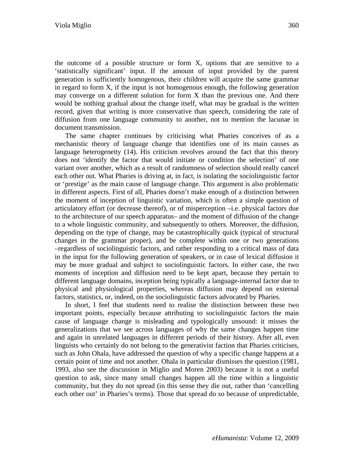the outcome of a possible structure or form X, options that are sensitive to a 'statistically significant' input. If the amount of input provided by the parent generation is sufficiently homogenous, their children will acquire the same grammar in regard to form X, if the input is not homogenous enough, the following generation may converge on a different solution for form X than the previous one. And there would be nothing gradual about the change itself, what may be gradual is the written record, given that writing is more conservative than speech, considering the rate of diffusion from one language community to another, not to mention the lacunae in document transmission.

The same chapter continues by criticising what Pharies conceives of as a mechanistic theory of language change that identifies one of its main causes as language heterogeneity (14). His criticism revolves around the fact that this theory does not 'identify the factor that would initiate or condition the selection' of one variant over another, which as a result of randomness of selection should really cancel each other out. What Pharies is driving at, in fact, is isolating the sociolinguistic factor or 'prestige' as the main cause of language change. This argument is also problematic in different aspects. First of all, Pharies doesn't make enough of a distinction between the moment of inception of linguistic variation, which is often a simple question of articulatory effort (or decrease thereof), or of misperception –i.e. physical factors due to the architecture of our speech apparatus– and the moment of diffusion of the change to a whole linguistic community, and subsequently to others. Moreover, the diffusion, depending on the type of change, may be catastrophically quick (typical of structural changes in the grammar proper), and be complete within one or two generations –regardless of sociolinguistic factors, and rather responding to a critical mass of data in the input for the following generation of speakers, or in case of lexical diffusion it may be more gradual and subject to sociolinguistic factors. In either case, the two moments of inception and diffusion need to be kept apart, because they pertain to different language domains, inception being typically a language-internal factor due to physical and physiological properties, whereas diffusion may depend on external factors, statistics, or, indeed, on the sociolinguistic factors advocated by Pharies.

In short, I feel that students need to realise the distinction between these two important points, especially because attributing to sociolinguistic factors the main cause of language change is misleading and typologically unsound: it misses the generalizations that we see across languages of why the same changes happen time and again in unrelated languages in different periods of their history. After all, even linguists who certainly do not belong to the generativist faction that Pharies criticises, such as John Ohala, have addressed the question of why a specific change happens at a certain point of time and not another. Ohala in particular dismisses the question (1981, 1993, also see the discussion in Miglio and Moren 2003) because it is not a useful question to ask, since many small changes happen all the time within a linguistic community, but they do not spread (in this sense they die out, rather than 'cancelling each other out' in Pharies's terms). Those that spread do so because of unpredictable,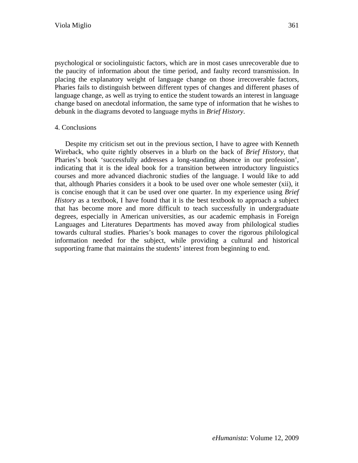psychological or sociolinguistic factors, which are in most cases unrecoverable due to the paucity of information about the time period, and faulty record transmission. In placing the explanatory weight of language change on those irrecoverable factors, Pharies fails to distinguish between different types of changes and different phases of language change, as well as trying to entice the student towards an interest in language change based on anecdotal information, the same type of information that he wishes to debunk in the diagrams devoted to language myths in *Brief History*.

## 4. Conclusions

Despite my criticism set out in the previous section, I have to agree with Kenneth Wireback, who quite rightly observes in a blurb on the back of *Brief History*, that Pharies's book 'successfully addresses a long-standing absence in our profession', indicating that it is the ideal book for a transition between introductory linguistics courses and more advanced diachronic studies of the language. I would like to add that, although Pharies considers it a book to be used over one whole semester (xii), it is concise enough that it can be used over one quarter. In my experience using *Brief History* as a textbook, I have found that it is the best textbook to approach a subject that has become more and more difficult to teach successfully in undergraduate degrees, especially in American universities, as our academic emphasis in Foreign Languages and Literatures Departments has moved away from philological studies towards cultural studies. Pharies's book manages to cover the rigorous philological information needed for the subject, while providing a cultural and historical supporting frame that maintains the students' interest from beginning to end.